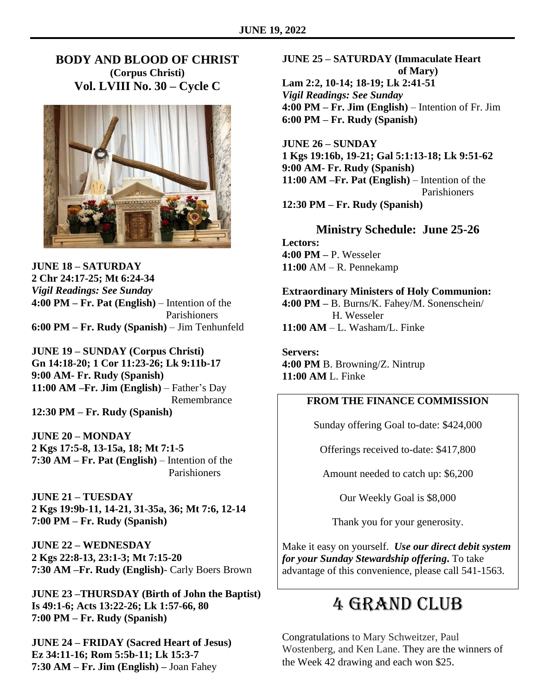## **BODY AND BLOOD OF CHRIST (Corpus Christi) Vol. LVIII No. 30 – Cycle C**



**JUNE 18 – SATURDAY 2 Chr 24:17-25; Mt 6:24-34** *Vigil Readings: See Sunday* **4:00 PM – Fr. Pat (English)** – Intention of the Parishioners **6:00 PM – Fr. Rudy (Spanish)** – Jim Tenhunfeld

**JUNE 19 – SUNDAY (Corpus Christi) Gn 14:18-20; 1 Cor 11:23-26; Lk 9:11b-17 9:00 AM- Fr. Rudy (Spanish) 11:00 AM –Fr. Jim (English)** – Father's Day Remembrance **12:30 PM – Fr. Rudy (Spanish)**

**JUNE 20 – MONDAY 2 Kgs 17:5-8, 13-15a, 18; Mt 7:1-5 7:30 AM – Fr. Pat (English)** – Intention of the Parishioners

**JUNE 21 – TUESDAY 2 Kgs 19:9b-11, 14-21, 31-35a, 36; Mt 7:6, 12-14 7:00 PM – Fr. Rudy (Spanish)**

**JUNE 22 – WEDNESDAY 2 Kgs 22:8-13, 23:1-3; Mt 7:15-20 7:30 AM –Fr. Rudy (English)**- Carly Boers Brown

**JUNE 23 –THURSDAY (Birth of John the Baptist) Is 49:1-6; Acts 13:22-26; Lk 1:57-66, 80 7:00 PM – Fr. Rudy (Spanish)**

**JUNE 24 – FRIDAY (Sacred Heart of Jesus) Ez 34:11-16; Rom 5:5b-11; Lk 15:3-7 7:30 AM – Fr. Jim (English) –** Joan Fahey

# **JUNE 25 – SATURDAY (Immaculate Heart of Mary)**

**Lam 2:2, 10-14; 18-19; Lk 2:41-51** *Vigil Readings: See Sunday* **4:00 PM – Fr. Jim (English)** – Intention of Fr. Jim **6:00 PM – Fr. Rudy (Spanish)**

**JUNE 26 – SUNDAY 1 Kgs 19:16b, 19-21; Gal 5:1:13-18; Lk 9:51-62 9:00 AM- Fr. Rudy (Spanish) 11:00 AM –Fr. Pat (English)** – Intention of the Parishioners

**12:30 PM – Fr. Rudy (Spanish)**

# **Ministry Schedule: June 25-26**

**Lectors: 4:00 PM –** P. Wesseler **11:00** AM – R. Pennekamp

#### **Extraordinary Ministers of Holy Communion:**

**4:00 PM –** B. Burns/K. Fahey/M. Sonenschein/ H. Wesseler **11:00 AM** – L. Washam/L. Finke

**Servers: 4:00 PM** B. Browning/Z. Nintrup **11:00 AM** L. Finke

#### **FROM THE FINANCE COMMISSION**

Sunday offering Goal to-date: \$424,000

Offerings received to-date: \$417,800

Amount needed to catch up: \$6,200

Our Weekly Goal is \$8,000

Thank you for your generosity.

Make it easy on yourself. *Use our direct debit system for your Sunday Stewardship offering***.** To take advantage of this convenience, please call 541-1563.

# 4 Grand Club

Congratulations to Mary Schweitzer, Paul Wostenberg, and Ken Lane. They are the winners of the Week 42 drawing and each won \$25.